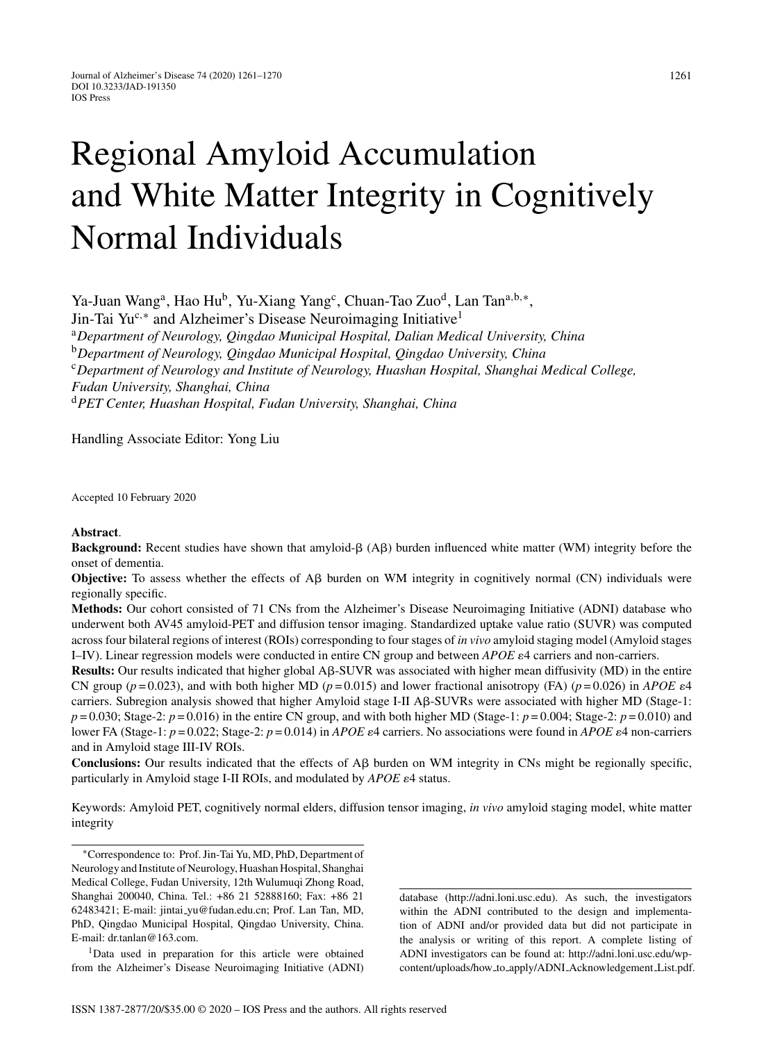# Regional Amyloid Accumulation and White Matter Integrity in Cognitively Normal Individuals

Ya-Juan Wang<sup>a</sup>, Hao Hu<sup>b</sup>, Yu-Xiang Yang<sup>c</sup>, Chuan-Tao Zuo<sup>d</sup>, Lan Tan<sup>a,b,\*</sup>, Jin-Tai Yu<sup>c,∗</sup> and Alzheimer's Disease Neuroimaging Initiative<sup>1</sup> <sup>a</sup>*Department of Neurology, Qingdao Municipal Hospital, Dalian Medical University, China* <sup>b</sup>*Department of Neurology, Qingdao Municipal Hospital, Qingdao University, China* <sup>c</sup>*Department of Neurology and Institute of Neurology, Huashan Hospital, Shanghai Medical College, Fudan University, Shanghai, China* <sup>d</sup>*PET Center, Huashan Hospital, Fudan University, Shanghai, China*

Handling Associate Editor: Yong Liu

Accepted 10 February 2020

#### **Abstract**.

**Background:** Recent studies have shown that amyloid- $\beta$  (A $\beta$ ) burden influenced white matter (WM) integrity before the onset of dementia.

**Objective:** To assess whether the effects of  $\mathsf{A}\beta$  burden on WM integrity in cognitively normal (CN) individuals were regionally specific.

**Methods:** Our cohort consisted of 71 CNs from the Alzheimer's Disease Neuroimaging Initiative (ADNI) database who underwent both AV45 amyloid-PET and diffusion tensor imaging. Standardized uptake value ratio (SUVR) was computed across four bilateral regions of interest (ROIs) corresponding to four stages of *in vivo* amyloid staging model (Amyloid stages I–IV). Linear regression models were conducted in entire CN group and between *APOE*  $\varepsilon$ 4 carriers and non-carriers.

Results: Our results indicated that higher global Aß-SUVR was associated with higher mean diffusivity (MD) in the entire CN group ( $p = 0.023$ ), and with both higher MD ( $p = 0.015$ ) and lower fractional anisotropy (FA) ( $p = 0.026$ ) in *APOE*  $\varepsilon$ 4 carriers. Subregion analysis showed that higher Amyloid stage I-II Aß-SUVRs were associated with higher MD (Stage-1:  $p = 0.030$ ; Stage-2:  $p = 0.016$ ) in the entire CN group, and with both higher MD (Stage-1:  $p = 0.004$ ; Stage-2:  $p = 0.010$ ) and lower FA (Stage-1:  $p=0.022$ ; Stage-2:  $p=0.014$ ) in *APOE*  $\varepsilon$ 4 carriers. No associations were found in *APOE*  $\varepsilon$ 4 non-carriers and in Amyloid stage III-IV ROIs.

Conclusions: Our results indicated that the effects of A $\beta$  burden on WM integrity in CNs might be regionally specific, particularly in Amyloid stage I-II ROIs, and modulated by *APOE*  $\varepsilon$ 4 status.

Keywords: Amyloid PET, cognitively normal elders, diffusion tensor imaging, *in vivo* amyloid staging model, white matter integrity

∗Correspondence to: Prof. Jin-Tai Yu, MD, PhD, Department of Neurology and Institute of Neurology, Huashan Hospital, Shanghai Medical College, Fudan University, 12th Wulumuqi Zhong Road, Shanghai 200040, China. Tel.: +86 21 52888160; Fax: +86 21 62483421; E-mail: jintai [yu@fudan.edu.cn](mailto:jintai_yu@fudan.edu.cn); Prof. Lan Tan, MD, PhD, Qingdao Municipal Hospital, Qingdao University, China. E-mail: [dr.tanlan@163.com.](mailto:dr.tanlan@163.com)

<sup>1</sup>Data used in preparation for this article were obtained from the Alzheimer's Disease Neuroimaging Initiative (ADNI) database (<http://adni.loni.usc.edu>). As such, the investigators within the ADNI contributed to the design and implementation of ADNI and/or provided data but did not participate in the analysis or writing of this report. A complete listing of ADNI investigators can be found at: [http://adni.loni.usc.edu/wp](http://adni.loni.usc.edu/wp-content/uploads/how_to_apply/ADNI_Acknowledgement_List.pdf)content/uploads/how to apply/ADNI Acknowledgement List.pdf.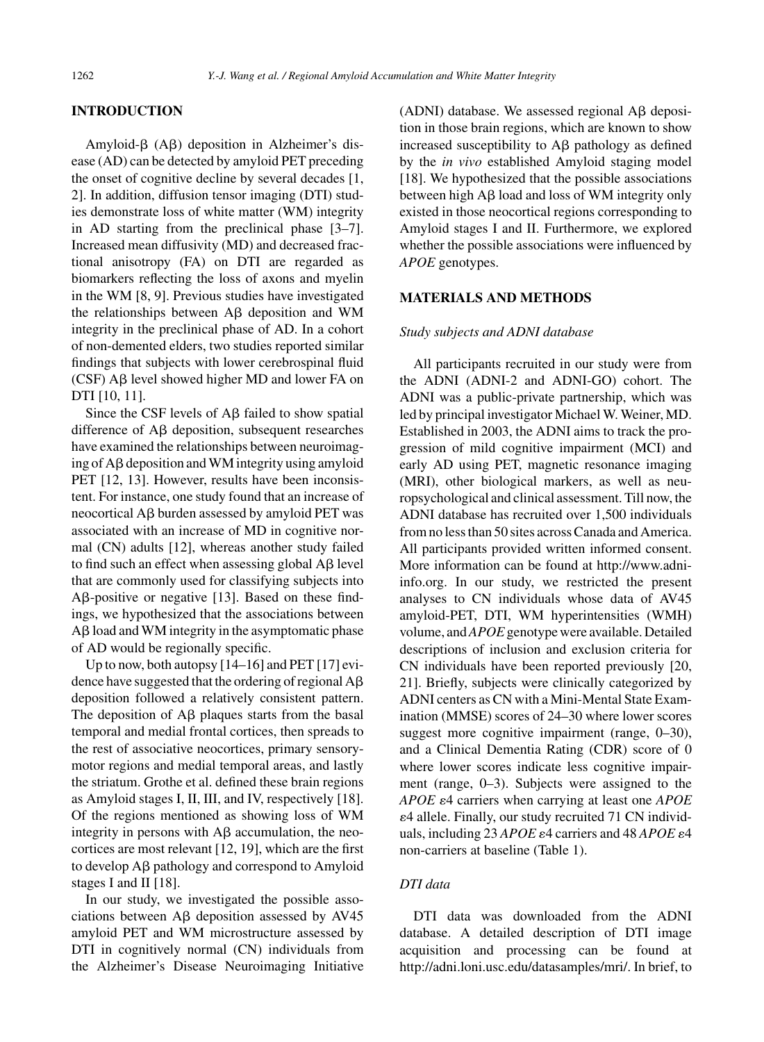## **INTRODUCTION**

Amyloid- $\beta$  (A $\beta$ ) deposition in Alzheimer's disease (AD) can be detected by amyloid PET preceding the onset of cognitive decline by several decades [1, 2]. In addition, diffusion tensor imaging (DTI) studies demonstrate loss of white matter (WM) integrity in AD starting from the preclinical phase [3–7]. Increased mean diffusivity (MD) and decreased fractional anisotropy (FA) on DTI are regarded as biomarkers reflecting the loss of axons and myelin in the WM [8, 9]. Previous studies have investigated the relationships between  $A\beta$  deposition and WM integrity in the preclinical phase of AD. In a cohort of non-demented elders, two studies reported similar findings that subjects with lower cerebrospinal fluid  $(CSF)$  A $\beta$  level showed higher MD and lower FA on DTI [10, 11].

Since the CSF levels of  $A\beta$  failed to show spatial difference of  $A\beta$  deposition, subsequent researches have examined the relationships between neuroimaging of  $A\beta$  deposition and WM integrity using amyloid PET [12, 13]. However, results have been inconsistent. For instance, one study found that an increase of neocortical Aß burden assessed by amyloid PET was associated with an increase of MD in cognitive normal (CN) adults [12], whereas another study failed to find such an effect when assessing global  $A\beta$  level that are commonly used for classifying subjects into  $\text{A}\beta$ -positive or negative [13]. Based on these findings, we hypothesized that the associations between A $\beta$  load and WM integrity in the asymptomatic phase of AD would be regionally specific.

Up to now, both autopsy [14–16] and PET [17] evidence have suggested that the ordering of regional  $A\beta$ deposition followed a relatively consistent pattern. The deposition of  $A\beta$  plaques starts from the basal temporal and medial frontal cortices, then spreads to the rest of associative neocortices, primary sensorymotor regions and medial temporal areas, and lastly the striatum. Grothe et al. defined these brain regions as Amyloid stages I, II, III, and IV, respectively [18]. Of the regions mentioned as showing loss of WM integrity in persons with  $\text{A}\beta$  accumulation, the neocortices are most relevant [12, 19], which are the first to develop Aß pathology and correspond to Amyloid stages I and II [18].

In our study, we investigated the possible associations between  $\text{AB}$  deposition assessed by AV45 amyloid PET and WM microstructure assessed by DTI in cognitively normal (CN) individuals from the Alzheimer's Disease Neuroimaging Initiative

(ADNI) database. We assessed regional  $A\beta$  deposition in those brain regions, which are known to show increased susceptibility to  $A\beta$  pathology as defined by the *in vivo* established Amyloid staging model [18]. We hypothesized that the possible associations between high  $A\beta$  load and loss of WM integrity only existed in those neocortical regions corresponding to Amyloid stages I and II. Furthermore, we explored whether the possible associations were influenced by *APOE* genotypes.

#### **MATERIALS AND METHODS**

#### *Study subjects and ADNI database*

All participants recruited in our study were from the ADNI (ADNI-2 and ADNI-GO) cohort. The ADNI was a public-private partnership, which was led by principal investigator Michael W. Weiner, MD. Established in 2003, the ADNI aims to track the progression of mild cognitive impairment (MCI) and early AD using PET, magnetic resonance imaging (MRI), other biological markers, as well as neuropsychological and clinical assessment. Till now, the ADNI database has recruited over 1,500 individuals from no less than 50 sites across Canada and America. All participants provided written informed consent. More information can be found at [http://www.adni](http://www.adni-info.org)info.org. In our study, we restricted the present analyses to CN individuals whose data of AV45 amyloid-PET, DTI, WM hyperintensities (WMH) volume, and*APOE*genotype were available. Detailed descriptions of inclusion and exclusion criteria for CN individuals have been reported previously [20, 21]. Briefly, subjects were clinically categorized by ADNI centers as CN with a Mini-Mental State Examination (MMSE) scores of 24–30 where lower scores suggest more cognitive impairment (range, 0–30), and a Clinical Dementia Rating (CDR) score of 0 where lower scores indicate less cognitive impairment (range, 0–3). Subjects were assigned to the *APOE*  $\epsilon$ 4 carriers when carrying at least one *APOE* 4 allele. Finally, our study recruited 71 CN individuals, including  $23$  *APOE*  $\varepsilon$ 4 carriers and  $48$  *APOE*  $\varepsilon$ 4 non-carriers at baseline (Table 1).

# *DTI data*

DTI data was downloaded from the ADNI database. A detailed description of DTI image acquisition and processing can be found at <http://adni.loni.usc.edu/datasamples/mri/>. In brief, to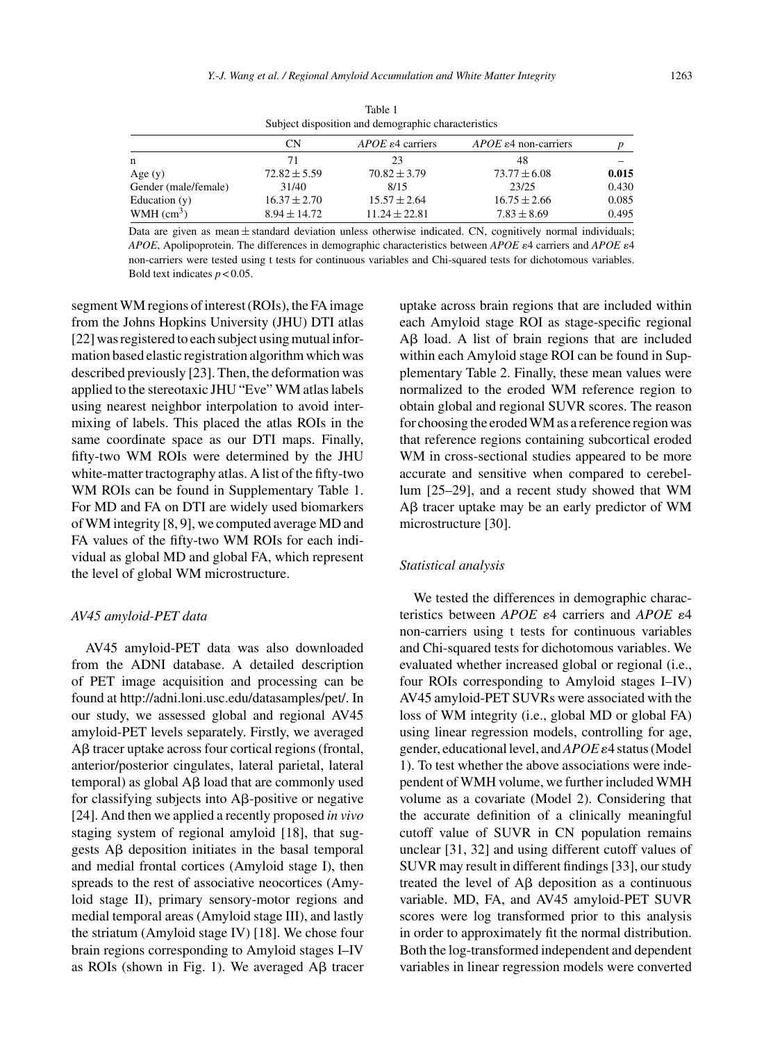| Subject disposition and demographic characteristics |                  |                            |                                     |       |  |  |  |  |  |
|-----------------------------------------------------|------------------|----------------------------|-------------------------------------|-------|--|--|--|--|--|
|                                                     | CN               | $APOE \epsilon 4$ carriers | $APOE$ $\varepsilon$ 4 non-carriers |       |  |  |  |  |  |
| n                                                   | 71               | 23                         | 48                                  |       |  |  |  |  |  |
| Age $(y)$                                           | $72.82 \pm 5.59$ | $70.82 \pm 3.79$           | $73.77 \pm 6.08$                    | 0.015 |  |  |  |  |  |
| Gender (male/female)                                | 31/40            | 8/15                       | 23/25                               | 0.430 |  |  |  |  |  |
| Education $(y)$                                     | $16.37 \pm 2.70$ | $15.57 \pm 2.64$           | $16.75 \pm 2.66$                    | 0.085 |  |  |  |  |  |
| WMH $\text{(cm}^3)$                                 | $8.94 \pm 14.72$ | $11.24 \pm 22.81$          | $7.83 \pm 8.69$                     | 0.495 |  |  |  |  |  |

Table 1 Subject disposition and demographic characteristics

Data are given as mean  $\pm$  standard deviation unless otherwise indicated. CN, cognitively normal individuals; *APOE*, Apolipoprotein. The differences in demographic characteristics between *APOE*  $\epsilon$ 4 carriers and *APOE*  $\epsilon$ 4 non-carriers were tested using t tests for continuous variables and Chi-squared tests for dichotomous variables. Bold text indicates  $p < 0.05$ .

segment WM regions of interest (ROIs), the FA image from the Johns Hopkins University (JHU) DTI atlas [22] was registered to each subject using mutual information based elastic registration algorithm which was described previously [23]. Then, the deformation was applied to the stereotaxic JHU "Eve" WM atlas labels using nearest neighbor interpolation to avoid intermixing of labels. This placed the atlas ROIs in the same coordinate space as our DTI maps. Finally, fifty-two WM ROIs were determined by the JHU white-matter tractography atlas. A list of the fifty-two WM ROIs can be found in Supplementary Table 1. For MD and FA on DTI are widely used biomarkers of WM integrity [8, 9], we computed average MD and FA values of the fifty-two WM ROIs for each individual as global MD and global FA, which represent the level of global WM microstructure.

# *AV45 amyloid-PET data*

AV45 amyloid-PET data was also downloaded from the ADNI database. A detailed description of PET image acquisition and processing can be found at<http://adni.loni.usc.edu/datasamples/pet/>. In our study, we assessed global and regional AV45 amyloid-PET levels separately. Firstly, we averaged  $A\beta$  tracer uptake across four cortical regions (frontal, anterior/posterior cingulates, lateral parietal, lateral  $temporal$ ) as global  $A\beta$  load that are commonly used for classifying subjects into  $A\beta$ -positive or negative [24]. And then we applied a recently proposed *in vivo* staging system of regional amyloid [18], that suggests  $A\beta$  deposition initiates in the basal temporal and medial frontal cortices (Amyloid stage I), then spreads to the rest of associative neocortices (Amyloid stage II), primary sensory-motor regions and medial temporal areas (Amyloid stage III), and lastly the striatum (Amyloid stage IV) [18]. We chose four brain regions corresponding to Amyloid stages I–IV as ROIs (shown in Fig. 1). We averaged  $\text{A}\beta$  tracer

uptake across brain regions that are included within each Amyloid stage ROI as stage-specific regional  $A\beta$  load. A list of brain regions that are included within each Amyloid stage ROI can be found in Supplementary Table 2. Finally, these mean values were normalized to the eroded WM reference region to obtain global and regional SUVR scores. The reason for choosing the eroded WM as a reference region was that reference regions containing subcortical eroded WM in cross-sectional studies appeared to be more accurate and sensitive when compared to cerebellum [25–29], and a recent study showed that WM A $\beta$  tracer uptake may be an early predictor of WM microstructure [30].

#### *Statistical analysis*

We tested the differences in demographic characteristics between *APOE*  $\varepsilon$ 4 carriers and *APOE*  $\varepsilon$ 4 non-carriers using t tests for continuous variables and Chi-squared tests for dichotomous variables. We evaluated whether increased global or regional (i.e., four ROIs corresponding to Amyloid stages I–IV) AV45 amyloid-PET SUVRs were associated with the loss of WM integrity (i.e., global MD or global FA) using linear regression models, controlling for age, gender, educational level, and *APOE*  $\varepsilon$ 4 status (Model 1). To test whether the above associations were independent of WMH volume, we further included WMH volume as a covariate (Model 2). Considering that the accurate definition of a clinically meaningful cutoff value of SUVR in CN population remains unclear [31, 32] and using different cutoff values of SUVR may result in different findings [33], our study treated the level of  $A\beta$  deposition as a continuous variable. MD, FA, and AV45 amyloid-PET SUVR scores were log transformed prior to this analysis in order to approximately fit the normal distribution. Both the log-transformed independent and dependent variables in linear regression models were converted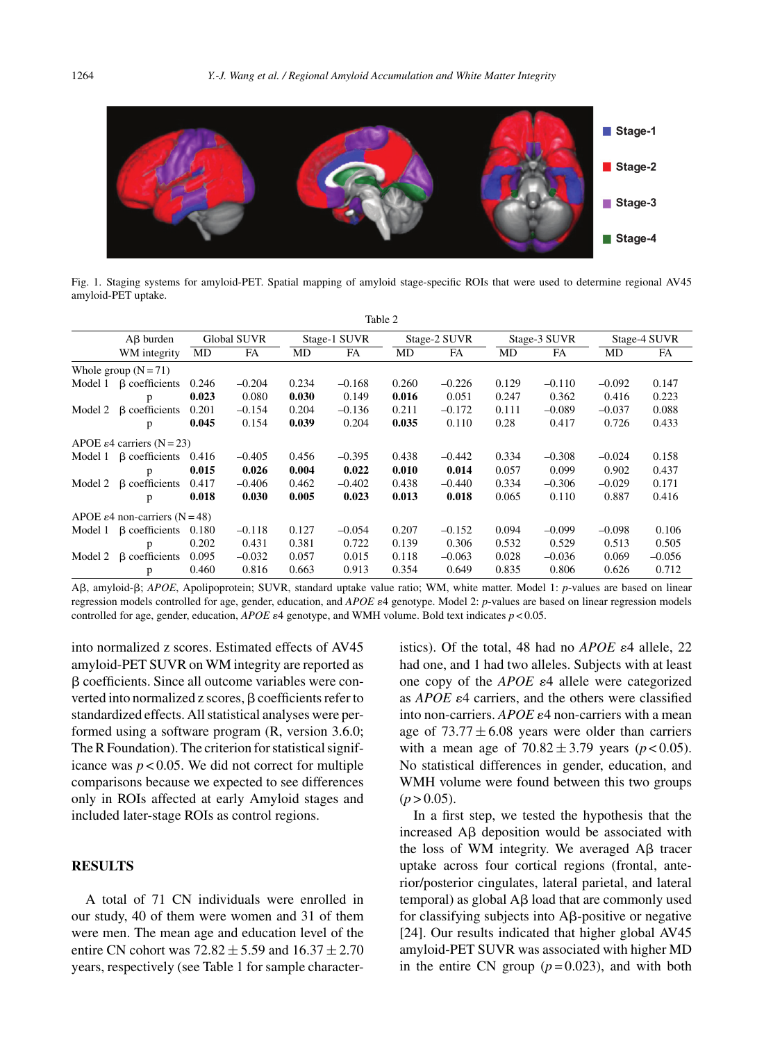

Fig. 1. Staging systems for amyloid-PET. Spatial mapping of amyloid stage-specific ROIs that were used to determine regional AV45 amyloid-PET uptake.

| Table 2 |                                            |                    |          |              |           |              |          |              |           |              |          |  |
|---------|--------------------------------------------|--------------------|----------|--------------|-----------|--------------|----------|--------------|-----------|--------------|----------|--|
|         | $AB$ burden                                | <b>Global SUVR</b> |          | Stage-1 SUVR |           | Stage-2 SUVR |          | Stage-3 SUVR |           | Stage-4 SUVR |          |  |
|         | WM integrity                               | MD                 | FA       | MD           | <b>FA</b> | MD           | FA       | MD           | <b>FA</b> | MD           | FA       |  |
|         | Whole group $(N = 71)$                     |                    |          |              |           |              |          |              |           |              |          |  |
| Model 1 | <b>B</b> coefficients                      | 0.246              | $-0.204$ | 0.234        | $-0.168$  | 0.260        | $-0.226$ | 0.129        | $-0.110$  | $-0.092$     | 0.147    |  |
|         | p                                          | 0.023              | 0.080    | 0.030        | 0.149     | 0.016        | 0.051    | 0.247        | 0.362     | 0.416        | 0.223    |  |
| Model 2 | <b>B</b> coefficients                      | 0.201              | $-0.154$ | 0.204        | $-0.136$  | 0.211        | $-0.172$ | 0.111        | $-0.089$  | $-0.037$     | 0.088    |  |
|         | p                                          | 0.045              | 0.154    | 0.039        | 0.204     | 0.035        | 0.110    | 0.28         | 0.417     | 0.726        | 0.433    |  |
|         | APOE $\varepsilon$ 4 carriers (N = 23)     |                    |          |              |           |              |          |              |           |              |          |  |
| Model 1 | <b>B</b> coefficients                      | 0.416              | $-0.405$ | 0.456        | $-0.395$  | 0.438        | $-0.442$ | 0.334        | $-0.308$  | $-0.024$     | 0.158    |  |
|         | p                                          | 0.015              | 0.026    | 0.004        | 0.022     | 0.010        | 0.014    | 0.057        | 0.099     | 0.902        | 0.437    |  |
| Model 2 | <b>B</b> coefficients                      | 0.417              | $-0.406$ | 0.462        | $-0.402$  | 0.438        | $-0.440$ | 0.334        | $-0.306$  | $-0.029$     | 0.171    |  |
|         | p                                          | 0.018              | 0.030    | 0.005        | 0.023     | 0.013        | 0.018    | 0.065        | 0.110     | 0.887        | 0.416    |  |
|         | APOE $\varepsilon$ 4 non-carriers (N = 48) |                    |          |              |           |              |          |              |           |              |          |  |
| Model 1 | <b>B</b> coefficients                      | 0.180              | $-0.118$ | 0.127        | $-0.054$  | 0.207        | $-0.152$ | 0.094        | $-0.099$  | $-0.098$     | 0.106    |  |
|         | p                                          | 0.202              | 0.431    | 0.381        | 0.722     | 0.139        | 0.306    | 0.532        | 0.529     | 0.513        | 0.505    |  |
| Model 2 | <b>B</b> coefficients                      | 0.095              | $-0.032$ | 0.057        | 0.015     | 0.118        | $-0.063$ | 0.028        | $-0.036$  | 0.069        | $-0.056$ |  |
|         | p                                          | 0.460              | 0.816    | 0.663        | 0.913     | 0.354        | 0.649    | 0.835        | 0.806     | 0.626        | 0.712    |  |

Aß, amyloid-ß; APOE, Apolipoprotein; SUVR, standard uptake value ratio; WM, white matter. Model 1: p-values are based on linear regression models controlled for age, gender, education, and *APOE* 4 genotype. Model 2: *p*-values are based on linear regression models controlled for age, gender, education, *APOE*  $\varepsilon$ 4 genotype, and WMH volume. Bold text indicates  $p$  < 0.05.

into normalized z scores. Estimated effects of AV45 amyloid-PET SUVR on WM integrity are reported as β coefficients. Since all outcome variables were converted into normalized z scores,  $\beta$  coefficients refer to standardized effects. All statistical analyses were performed using a software program (R, version 3.6.0; The R Foundation). The criterion for statistical significance was  $p < 0.05$ . We did not correct for multiple comparisons because we expected to see differences only in ROIs affected at early Amyloid stages and included later-stage ROIs as control regions.

## **RESULTS**

A total of 71 CN individuals were enrolled in our study, 40 of them were women and 31 of them were men. The mean age and education level of the entire CN cohort was  $72.82 \pm 5.59$  and  $16.37 \pm 2.70$ years, respectively (see Table 1 for sample characteristics). Of the total, 48 had no  $APOE$   $\varepsilon$ 4 allele, 22 had one, and 1 had two alleles. Subjects with at least one copy of the  $APOE$   $\varepsilon$ <sup>4</sup> allele were categorized as  $APOE \epsilon 4$  carriers, and the others were classified into non-carriers.  $APOE \varepsilon_4$  non-carriers with a mean age of  $73.77 \pm 6.08$  years were older than carriers with a mean age of  $70.82 \pm 3.79$  years ( $p < 0.05$ ). No statistical differences in gender, education, and WMH volume were found between this two groups  $(p > 0.05)$ .

In a first step, we tested the hypothesis that the increased  $\text{A}\beta$  deposition would be associated with the loss of WM integrity. We averaged  $\text{A}\beta$  tracer uptake across four cortical regions (frontal, anterior/posterior cingulates, lateral parietal, and lateral  $temporal$ ) as global  $A\beta$  load that are commonly used for classifying subjects into  $\mathsf{A}\mathsf{B}\text{-}\mathsf{positive}$  or negative [24]. Our results indicated that higher global AV45 amyloid-PET SUVR was associated with higher MD in the entire CN group  $(p=0.023)$ , and with both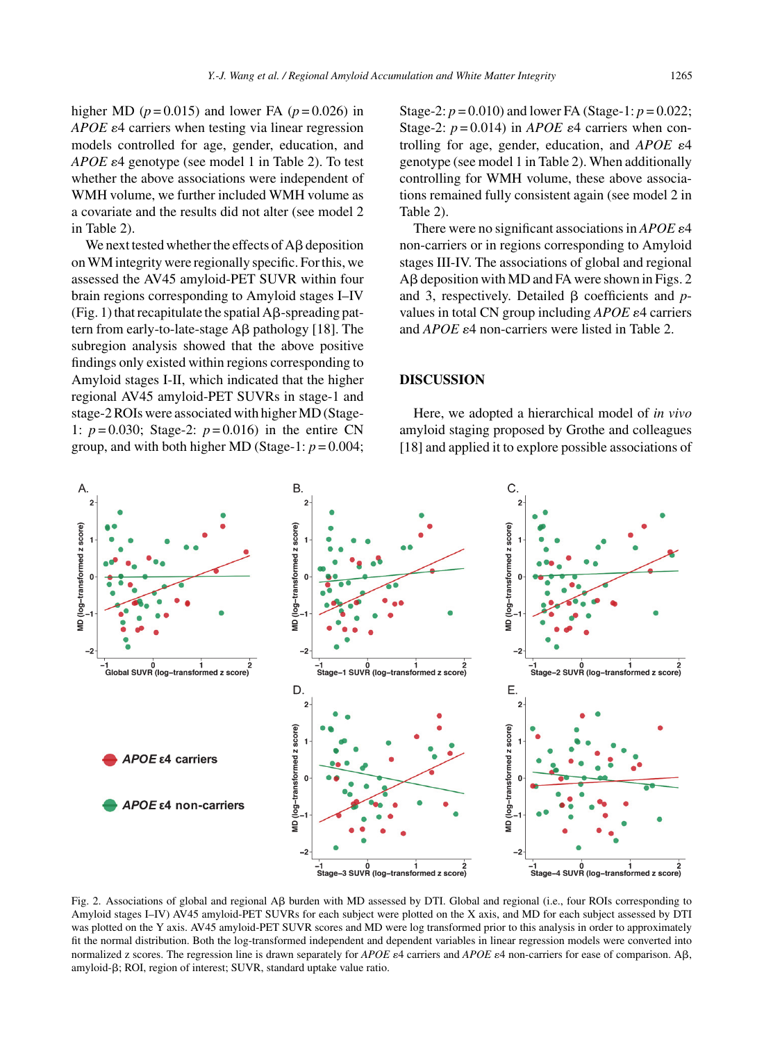higher MD ( $p = 0.015$ ) and lower FA ( $p = 0.026$ ) in *APOE*  $\varepsilon$ 4 carriers when testing via linear regression models controlled for age, gender, education, and *APOE*  $\varepsilon$ 4 genotype (see model 1 in Table 2). To test whether the above associations were independent of WMH volume, we further included WMH volume as a covariate and the results did not alter (see model 2 in Table 2).

We next tested whether the effects of  $A\beta$  deposition on WM integrity were regionally specific. For this, we assessed the AV45 amyloid-PET SUVR within four brain regions corresponding to Amyloid stages I–IV  $(Fig. 1)$  that recapitulate the spatial A $\beta$ -spreading pattern from early-to-late-stage  $\text{A}\beta$  pathology [18]. The subregion analysis showed that the above positive findings only existed within regions corresponding to Amyloid stages I-II, which indicated that the higher regional AV45 amyloid-PET SUVRs in stage-1 and stage-2 ROIs were associated with higher MD (Stage-1: *p* = 0.030; Stage-2: *p* = 0.016) in the entire CN group, and with both higher MD (Stage-1:  $p = 0.004$ ; Stage-2: *p* = 0.010) and lower FA (Stage-1: *p* = 0.022; Stage-2:  $p = 0.014$ ) in *APOE*  $\varepsilon$ 4 carriers when controlling for age, gender, education, and  $APOE \varepsilon 4$ genotype (see model 1 in Table 2). When additionally controlling for WMH volume, these above associations remained fully consistent again (see model 2 in Table 2).

There were no significant associations in  $APOE \epsilon 4$ non-carriers or in regions corresponding to Amyloid stages III-IV. The associations of global and regional  $A\beta$  deposition with MD and FA were shown in Figs. 2 and 3, respectively. Detailed  $\beta$  coefficients and *p*values in total CN group including  $APOE \epsilon 4$  carriers and *APOE*  $\varepsilon$ 4 non-carriers were listed in Table 2.

# **DISCUSSION**

Here, we adopted a hierarchical model of *in vivo* amyloid staging proposed by Grothe and colleagues [18] and applied it to explore possible associations of



Fig. 2. Associations of global and regional Aß burden with MD assessed by DTI. Global and regional (i.e., four ROIs corresponding to Amyloid stages I–IV) AV45 amyloid-PET SUVRs for each subject were plotted on the X axis, and MD for each subject assessed by DTI was plotted on the Y axis. AV45 amyloid-PET SUVR scores and MD were log transformed prior to this analysis in order to approximately fit the normal distribution. Both the log-transformed independent and dependent variables in linear regression models were converted into normalized z scores. The regression line is drawn separately for *APOE*  $\epsilon$ 4 carriers and *APOE*  $\epsilon$ 4 non-carriers for ease of comparison. A $\beta$ , amyloid- $\beta$ ; ROI, region of interest; SUVR, standard uptake value ratio.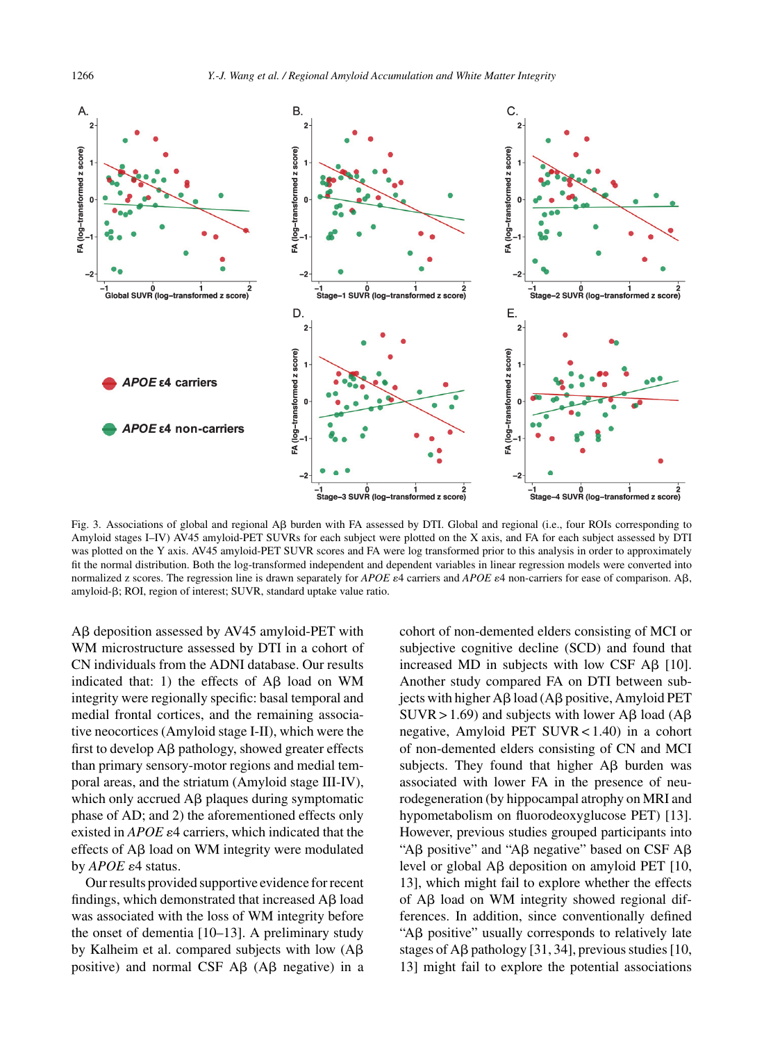

Fig. 3. Associations of global and regional Aβ burden with FA assessed by DTI. Global and regional (i.e., four ROIs corresponding to Amyloid stages I–IV) AV45 amyloid-PET SUVRs for each subject were plotted on the X axis, and FA for each subject assessed by DTI was plotted on the Y axis. AV45 amyloid-PET SUVR scores and FA were log transformed prior to this analysis in order to approximately fit the normal distribution. Both the log-transformed independent and dependent variables in linear regression models were converted into normalized z scores. The regression line is drawn separately for *APOE*  $\epsilon$ 4 carriers and *APOE*  $\epsilon$ 4 non-carriers for ease of comparison. A $\beta$ , amyloid- $\beta$ ; ROI, region of interest; SUVR, standard uptake value ratio.

A $\beta$  deposition assessed by AV45 amyloid-PET with WM microstructure assessed by DTI in a cohort of CN individuals from the ADNI database. Our results indicated that: 1) the effects of  $A\beta$  load on WM integrity were regionally specific: basal temporal and medial frontal cortices, and the remaining associative neocortices (Amyloid stage I-II), which were the first to develop  $A\beta$  pathology, showed greater effects than primary sensory-motor regions and medial temporal areas, and the striatum (Amyloid stage III-IV), which only accrued  $\text{A}\beta$  plaques during symptomatic phase of AD; and 2) the aforementioned effects only existed in  $APOE \epsilon 4$  carriers, which indicated that the effects of  $A\beta$  load on WM integrity were modulated by *APOE* ε4 status.

Our results provided supportive evidence for recent findings, which demonstrated that increased  $\text{A}\beta$  load was associated with the loss of WM integrity before the onset of dementia [10–13]. A preliminary study by Kalheim et al. compared subjects with low  $(A\beta)$ positive) and normal CSF  $\overrightarrow{AB}$  (A $\overrightarrow{B}$  negative) in a

cohort of non-demented elders consisting of MCI or subjective cognitive decline (SCD) and found that increased MD in subjects with low CSF A $\beta$  [10]. Another study compared FA on DTI between subjects with higher Aβ load (Aβ positive, Amyloid PET  $SUVR > 1.69$ ) and subjects with lower A $\beta$  load (A $\beta$ negative, Amyloid PET SUVR < 1.40) in a cohort of non-demented elders consisting of CN and MCI subjects. They found that higher  $A\beta$  burden was associated with lower FA in the presence of neurodegeneration (by hippocampal atrophy on MRI and hypometabolism on fluorodeoxyglucose PET) [13]. However, previous studies grouped participants into "A $\beta$  positive" and "A $\beta$  negative" based on CSF A $\beta$ level or global A $\beta$  deposition on amyloid PET [10, 13], which might fail to explore whether the effects of  $A\beta$  load on WM integrity showed regional differences. In addition, since conventionally defined " $A\beta$  positive" usually corresponds to relatively late stages of  $\text{A}\beta$  pathology [31, 34], previous studies [10, 13] might fail to explore the potential associations

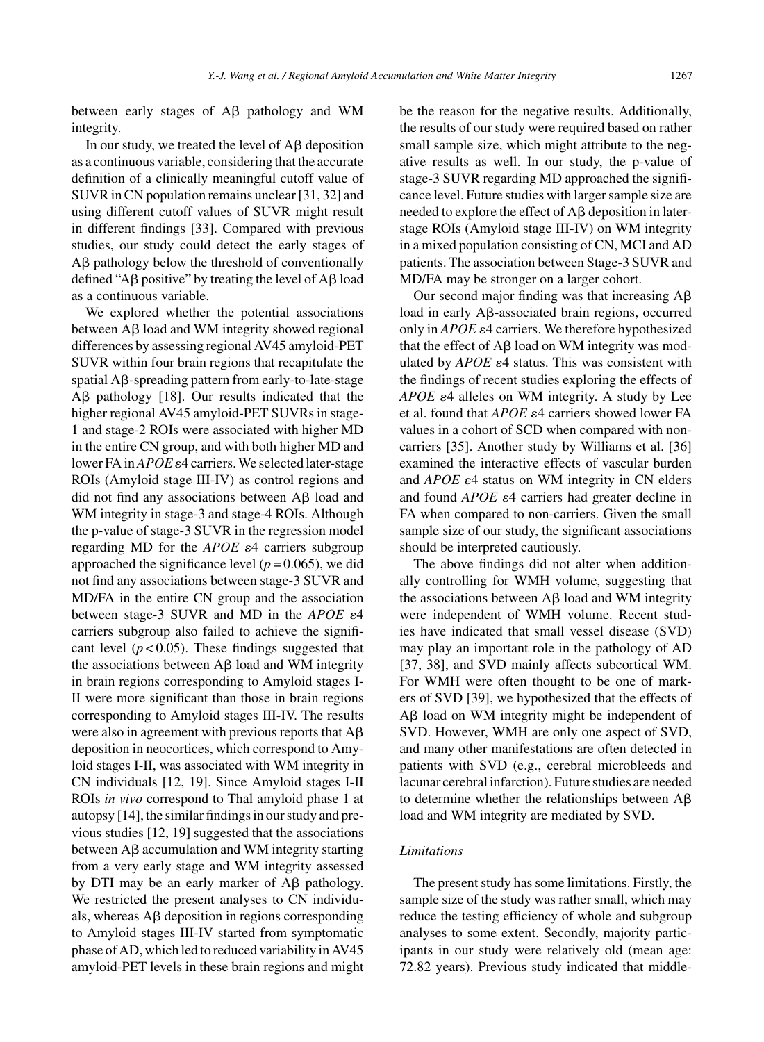between early stages of  $A\beta$  pathology and WM integrity.

In our study, we treated the level of  $A\beta$  deposition as a continuous variable, considering that the accurate definition of a clinically meaningful cutoff value of SUVR in CN population remains unclear [31, 32] and using different cutoff values of SUVR might result in different findings [33]. Compared with previous studies, our study could detect the early stages of A $\beta$  pathology below the threshold of conventionally defined "A $\beta$  positive" by treating the level of A $\beta$  load as a continuous variable.

We explored whether the potential associations between A $\beta$  load and WM integrity showed regional differences by assessing regional AV45 amyloid-PET SUVR within four brain regions that recapitulate the spatial Aß-spreading pattern from early-to-late-stage  $\text{A}\beta$  pathology [18]. Our results indicated that the higher regional AV45 amyloid-PET SUVRs in stage-1 and stage-2 ROIs were associated with higher MD in the entire CN group, and with both higher MD and lower FA in *APOE* ε4 carriers. We selected later-stage ROIs (Amyloid stage III-IV) as control regions and did not find any associations between  $A\beta$  load and WM integrity in stage-3 and stage-4 ROIs. Although the p-value of stage-3 SUVR in the regression model regarding MD for the *APOE*  $\varepsilon$ 4 carriers subgroup approached the significance level ( $p = 0.065$ ), we did not find any associations between stage-3 SUVR and MD/FA in the entire CN group and the association between stage-3 SUVR and MD in the *APOE*  $\varepsilon$ 4 carriers subgroup also failed to achieve the significant level  $(p<0.05)$ . These findings suggested that the associations between  $\text{A}\beta$  load and WM integrity in brain regions corresponding to Amyloid stages I-II were more significant than those in brain regions corresponding to Amyloid stages III-IV. The results were also in agreement with previous reports that  $A\beta$ deposition in neocortices, which correspond to Amyloid stages I-II, was associated with WM integrity in CN individuals [12, 19]. Since Amyloid stages I-II ROIs *in vivo* correspond to Thal amyloid phase 1 at autopsy [14], the similar findings in our study and previous studies [12, 19] suggested that the associations between  $\text{A}\beta$  accumulation and WM integrity starting from a very early stage and WM integrity assessed by DTI may be an early marker of  $A\beta$  pathology. We restricted the present analyses to CN individuals, whereas  $\text{A}\beta$  deposition in regions corresponding to Amyloid stages III-IV started from symptomatic phase of AD, which led to reduced variability in AV45 amyloid-PET levels in these brain regions and might be the reason for the negative results. Additionally, the results of our study were required based on rather small sample size, which might attribute to the negative results as well. In our study, the p-value of stage-3 SUVR regarding MD approached the significance level. Future studies with larger sample size are needed to explore the effect of  $A\beta$  deposition in laterstage ROIs (Amyloid stage III-IV) on WM integrity in a mixed population consisting of CN, MCI and AD patients. The association between Stage-3 SUVR and MD/FA may be stronger on a larger cohort.

Our second major finding was that increasing  $A\beta$ load in early  $\mathsf{A}\beta$ -associated brain regions, occurred only in *APOE*  $\varepsilon$ 4 carriers. We therefore hypothesized that the effect of  $A\beta$  load on WM integrity was modulated by  $APOE \varepsilon$ 4 status. This was consistent with the findings of recent studies exploring the effects of *APOE*  $\varepsilon$ 4 alleles on WM integrity. A study by Lee et al. found that *APOE*  $\varepsilon$ 4 carriers showed lower FA values in a cohort of SCD when compared with noncarriers [35]. Another study by Williams et al. [36] examined the interactive effects of vascular burden and  $APOE$   $\varepsilon$ 4 status on WM integrity in CN elders and found *APOE*  $\varepsilon$ 4 carriers had greater decline in FA when compared to non-carriers. Given the small sample size of our study, the significant associations should be interpreted cautiously.

The above findings did not alter when additionally controlling for WMH volume, suggesting that the associations between  $\text{A}\beta$  load and WM integrity were independent of WMH volume. Recent studies have indicated that small vessel disease (SVD) may play an important role in the pathology of AD [37, 38], and SVD mainly affects subcortical WM. For WMH were often thought to be one of markers of SVD [39], we hypothesized that the effects of  $A\beta$  load on WM integrity might be independent of SVD. However, WMH are only one aspect of SVD, and many other manifestations are often detected in patients with SVD (e.g., cerebral microbleeds and lacunar cerebral infarction). Future studies are needed to determine whether the relationships between  $A\beta$ load and WM integrity are mediated by SVD.

## *Limitations*

The present study has some limitations. Firstly, the sample size of the study was rather small, which may reduce the testing efficiency of whole and subgroup analyses to some extent. Secondly, majority participants in our study were relatively old (mean age: 72.82 years). Previous study indicated that middle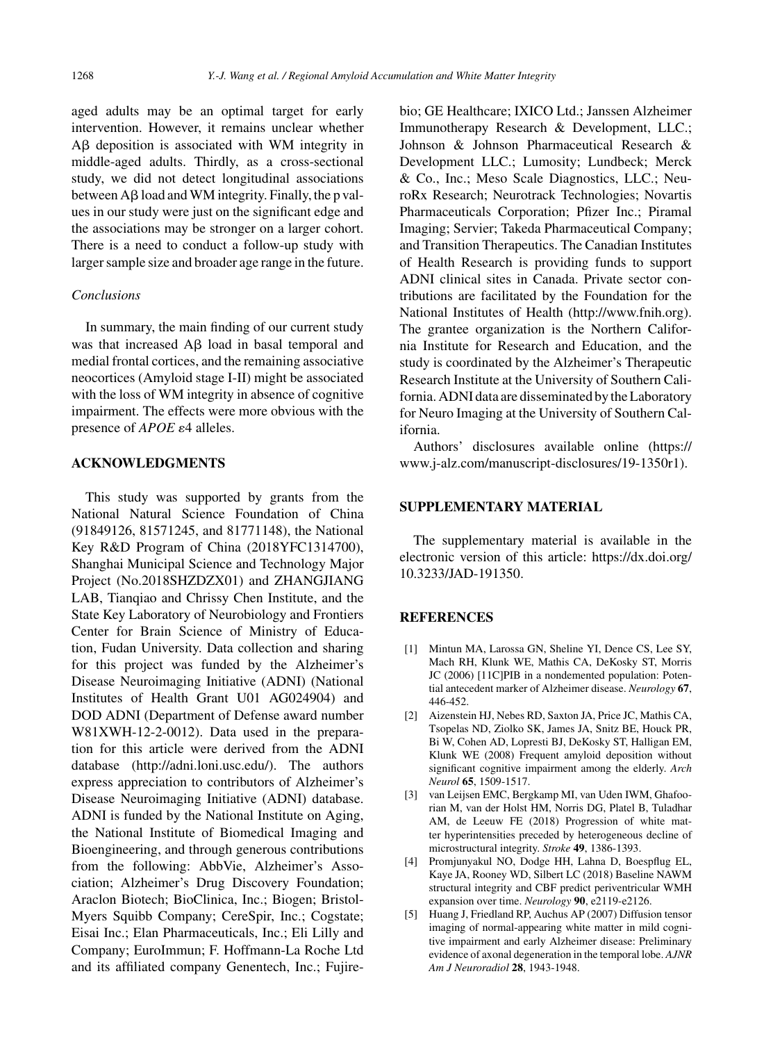aged adults may be an optimal target for early intervention. However, it remains unclear whether A $\beta$  deposition is associated with WM integrity in middle-aged adults. Thirdly, as a cross-sectional study, we did not detect longitudinal associations between  $\text{A}\beta$  load and WM integrity. Finally, the p values in our study were just on the significant edge and the associations may be stronger on a larger cohort. There is a need to conduct a follow-up study with larger sample size and broader age range in the future.

# *Conclusions*

In summary, the main finding of our current study was that increased  $\text{A}\beta$  load in basal temporal and medial frontal cortices, and the remaining associative neocortices (Amyloid stage I-II) might be associated with the loss of WM integrity in absence of cognitive impairment. The effects were more obvious with the presence of  $APOE \varepsilon 4$  alleles.

# **ACKNOWLEDGMENTS**

This study was supported by grants from the National Natural Science Foundation of China (91849126, 81571245, and 81771148), the National Key R&D Program of China (2018YFC1314700), Shanghai Municipal Science and Technology Major Project (No.2018SHZDZX01) and ZHANGJIANG LAB, Tianqiao and Chrissy Chen Institute, and the State Key Laboratory of Neurobiology and Frontiers Center for Brain Science of Ministry of Education, Fudan University. Data collection and sharing for this project was funded by the Alzheimer's Disease Neuroimaging Initiative (ADNI) (National Institutes of Health Grant U01 AG024904) and DOD ADNI (Department of Defense award number W81XWH-12-2-0012). Data used in the preparation for this article were derived from the ADNI database [\(http://adni.loni.usc.edu/\)](http://adni.loni.usc.edu/). The authors express appreciation to contributors of Alzheimer's Disease Neuroimaging Initiative (ADNI) database. ADNI is funded by the National Institute on Aging, the National Institute of Biomedical Imaging and Bioengineering, and through generous contributions from the following: AbbVie, Alzheimer's Association; Alzheimer's Drug Discovery Foundation; Araclon Biotech; BioClinica, Inc.; Biogen; Bristol-Myers Squibb Company; CereSpir, Inc.; Cogstate; Eisai Inc.; Elan Pharmaceuticals, Inc.; Eli Lilly and Company; EuroImmun; F. Hoffmann-La Roche Ltd and its affiliated company Genentech, Inc.; Fujirebio; GE Healthcare; IXICO Ltd.; Janssen Alzheimer Immunotherapy Research & Development, LLC.; Johnson & Johnson Pharmaceutical Research & Development LLC.; Lumosity; Lundbeck; Merck & Co., Inc.; Meso Scale Diagnostics, LLC.; NeuroRx Research; Neurotrack Technologies; Novartis Pharmaceuticals Corporation; Pfizer Inc.; Piramal Imaging; Servier; Takeda Pharmaceutical Company; and Transition Therapeutics. The Canadian Institutes of Health Research is providing funds to support ADNI clinical sites in Canada. Private sector contributions are facilitated by the Foundation for the National Institutes of Health [\(http://www.fnih.org](http://www.fnih.org)). The grantee organization is the Northern California Institute for Research and Education, and the study is coordinated by the Alzheimer's Therapeutic Research Institute at the University of Southern California. ADNI data are disseminated by the Laboratory for Neuro Imaging at the University of Southern California.

Authors' disclosures available online [\(https://](https://www.j-alz.com/manuscript-disclosures/19-1350r1) [www.j-alz.com/manuscript-disclosures/19-1350r1\)](https://www.j-alz.com/manuscript-disclosures/19-1350r1).

# **SUPPLEMENTARY MATERIAL**

The supplementary material is available in the electronic version of this article: [https://dx.doi.org/](https://dx.doi.org/10.3233/JAD-191350) [10.3233/JAD-191350.](https://dx.doi.org/10.3233/JAD-191350)

## **REFERENCES**

- [1] Mintun MA, Larossa GN, Sheline YI, Dence CS, Lee SY, Mach RH, Klunk WE, Mathis CA, DeKosky ST, Morris JC (2006) [11C]PIB in a nondemented population: Potential antecedent marker of Alzheimer disease. *Neurology* **67**, 446-452.
- [2] Aizenstein HJ, Nebes RD, Saxton JA, Price JC, Mathis CA, Tsopelas ND, Ziolko SK, James JA, Snitz BE, Houck PR, Bi W, Cohen AD, Lopresti BJ, DeKosky ST, Halligan EM, Klunk WE (2008) Frequent amyloid deposition without significant cognitive impairment among the elderly. *Arch Neurol* **65**, 1509-1517.
- [3] van Leijsen EMC, Bergkamp MI, van Uden IWM, Ghafoorian M, van der Holst HM, Norris DG, Platel B, Tuladhar AM, de Leeuw FE (2018) Progression of white matter hyperintensities preceded by heterogeneous decline of microstructural integrity. *Stroke* **49**, 1386-1393.
- [4] Promjunyakul NO, Dodge HH, Lahna D, Boespflug EL, Kaye JA, Rooney WD, Silbert LC (2018) Baseline NAWM structural integrity and CBF predict periventricular WMH expansion over time. *Neurology* **90**, e2119-e2126.
- [5] Huang J, Friedland RP, Auchus AP (2007) Diffusion tensor imaging of normal-appearing white matter in mild cognitive impairment and early Alzheimer disease: Preliminary evidence of axonal degeneration in the temporal lobe. *AJNR Am J Neuroradiol* **28**, 1943-1948.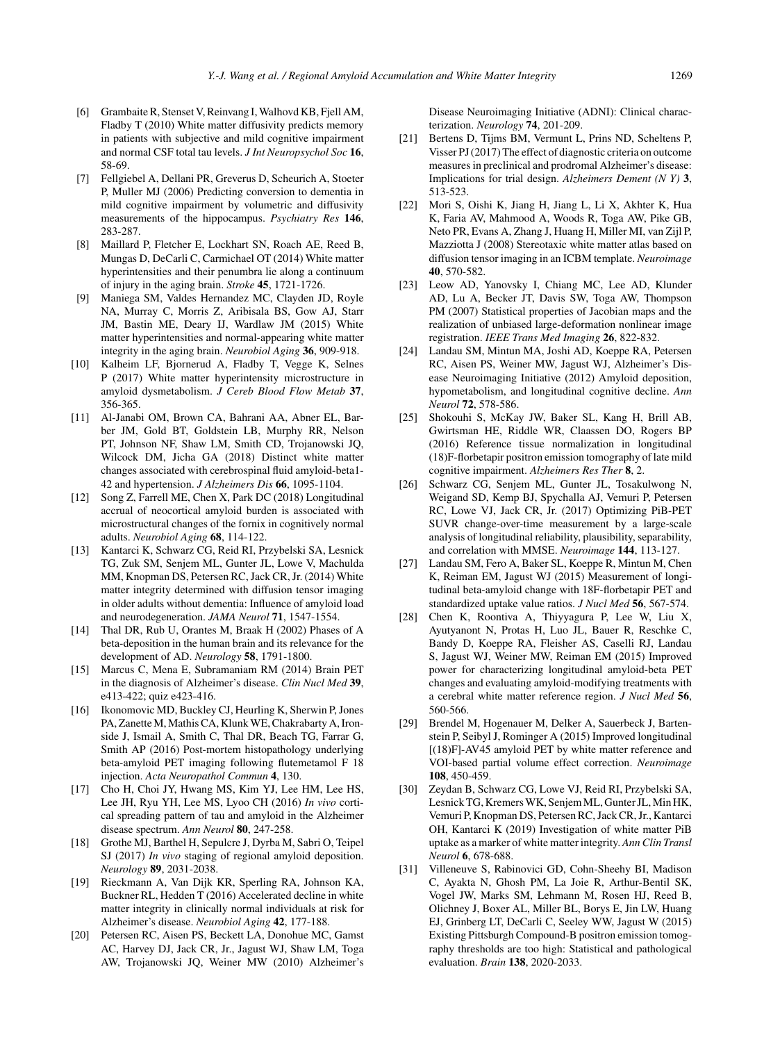- [6] Grambaite R, Stenset V, Reinvang I, Walhovd KB, Fjell AM, Fladby T (2010) White matter diffusivity predicts memory in patients with subjective and mild cognitive impairment and normal CSF total tau levels. *J Int Neuropsychol Soc* **16**, 58-69.
- [7] Fellgiebel A, Dellani PR, Greverus D, Scheurich A, Stoeter P, Muller MJ (2006) Predicting conversion to dementia in mild cognitive impairment by volumetric and diffusivity measurements of the hippocampus. *Psychiatry Res* **146**, 283-287.
- [8] Maillard P, Fletcher E, Lockhart SN, Roach AE, Reed B, Mungas D, DeCarli C, Carmichael OT (2014) White matter hyperintensities and their penumbra lie along a continuum of injury in the aging brain. *Stroke* **45**, 1721-1726.
- [9] Maniega SM, Valdes Hernandez MC, Clayden JD, Royle NA, Murray C, Morris Z, Aribisala BS, Gow AJ, Starr JM, Bastin ME, Deary IJ, Wardlaw JM (2015) White matter hyperintensities and normal-appearing white matter integrity in the aging brain. *Neurobiol Aging* **36**, 909-918.
- [10] Kalheim LF, Bjornerud A, Fladby T, Vegge K, Selnes P (2017) White matter hyperintensity microstructure in amyloid dysmetabolism. *J Cereb Blood Flow Metab* **37**, 356-365.
- [11] Al-Janabi OM, Brown CA, Bahrani AA, Abner EL, Barber JM, Gold BT, Goldstein LB, Murphy RR, Nelson PT, Johnson NF, Shaw LM, Smith CD, Trojanowski JQ, Wilcock DM, Jicha GA (2018) Distinct white matter changes associated with cerebrospinal fluid amyloid-beta1- 42 and hypertension. *J Alzheimers Dis* **66**, 1095-1104.
- [12] Song Z, Farrell ME, Chen X, Park DC (2018) Longitudinal accrual of neocortical amyloid burden is associated with microstructural changes of the fornix in cognitively normal adults. *Neurobiol Aging* **68**, 114-122.
- [13] Kantarci K, Schwarz CG, Reid RI, Przybelski SA, Lesnick TG, Zuk SM, Senjem ML, Gunter JL, Lowe V, Machulda MM, Knopman DS, Petersen RC, Jack CR, Jr. (2014) White matter integrity determined with diffusion tensor imaging in older adults without dementia: Influence of amyloid load and neurodegeneration. *JAMA Neurol* **71**, 1547-1554.
- [14] Thal DR, Rub U, Orantes M, Braak H (2002) Phases of A beta-deposition in the human brain and its relevance for the development of AD. *Neurology* **58**, 1791-1800.
- [15] Marcus C, Mena E, Subramaniam RM (2014) Brain PET in the diagnosis of Alzheimer's disease. *Clin Nucl Med* **39**, e413-422; quiz e423-416.
- [16] Ikonomovic MD, Buckley CJ, Heurling K, Sherwin P, Jones PA, Zanette M, Mathis CA, Klunk WE, Chakrabarty A, Ironside J, Ismail A, Smith C, Thal DR, Beach TG, Farrar G, Smith AP (2016) Post-mortem histopathology underlying beta-amyloid PET imaging following flutemetamol F 18 injection. *Acta Neuropathol Commun* **4**, 130.
- [17] Cho H, Choi JY, Hwang MS, Kim YJ, Lee HM, Lee HS, Lee JH, Ryu YH, Lee MS, Lyoo CH (2016) *In vivo* cortical spreading pattern of tau and amyloid in the Alzheimer disease spectrum. *Ann Neurol* **80**, 247-258.
- [18] Grothe MJ, Barthel H, Sepulcre J, Dyrba M, Sabri O, Teipel SJ (2017) *In vivo* staging of regional amyloid deposition. *Neurology* **89**, 2031-2038.
- [19] Rieckmann A, Van Dijk KR, Sperling RA, Johnson KA, Buckner RL, Hedden T (2016) Accelerated decline in white matter integrity in clinically normal individuals at risk for Alzheimer's disease. *Neurobiol Aging* **42**, 177-188.
- [20] Petersen RC, Aisen PS, Beckett LA, Donohue MC, Gamst AC, Harvey DJ, Jack CR, Jr., Jagust WJ, Shaw LM, Toga AW, Trojanowski JQ, Weiner MW (2010) Alzheimer's

Disease Neuroimaging Initiative (ADNI): Clinical characterization. *Neurology* **74**, 201-209.

- [21] Bertens D, Tijms BM, Vermunt L, Prins ND, Scheltens P, Visser PJ (2017) The effect of diagnostic criteria on outcome measures in preclinical and prodromal Alzheimer's disease: Implications for trial design. *Alzheimers Dement (N Y)* **3**, 513-523.
- [22] Mori S, Oishi K, Jiang H, Jiang L, Li X, Akhter K, Hua K, Faria AV, Mahmood A, Woods R, Toga AW, Pike GB, Neto PR, Evans A, Zhang J, Huang H, Miller MI, van Zijl P, Mazziotta J (2008) Stereotaxic white matter atlas based on diffusion tensor imaging in an ICBM template. *Neuroimage* **40**, 570-582.
- [23] Leow AD, Yanovsky I, Chiang MC, Lee AD, Klunder AD, Lu A, Becker JT, Davis SW, Toga AW, Thompson PM (2007) Statistical properties of Jacobian maps and the realization of unbiased large-deformation nonlinear image registration. *IEEE Trans Med Imaging* **26**, 822-832.
- [24] Landau SM, Mintun MA, Joshi AD, Koeppe RA, Petersen RC, Aisen PS, Weiner MW, Jagust WJ, Alzheimer's Disease Neuroimaging Initiative (2012) Amyloid deposition, hypometabolism, and longitudinal cognitive decline. *Ann Neurol* **72**, 578-586.
- [25] Shokouhi S, McKay JW, Baker SL, Kang H, Brill AB, Gwirtsman HE, Riddle WR, Claassen DO, Rogers BP (2016) Reference tissue normalization in longitudinal (18)F-florbetapir positron emission tomography of late mild cognitive impairment. *Alzheimers Res Ther* **8**, 2.
- [26] Schwarz CG, Senjem ML, Gunter JL, Tosakulwong N, Weigand SD, Kemp BJ, Spychalla AJ, Vemuri P, Petersen RC, Lowe VJ, Jack CR, Jr. (2017) Optimizing PiB-PET SUVR change-over-time measurement by a large-scale analysis of longitudinal reliability, plausibility, separability, and correlation with MMSE. *Neuroimage* **144**, 113-127.
- [27] Landau SM, Fero A, Baker SL, Koeppe R, Mintun M, Chen K, Reiman EM, Jagust WJ (2015) Measurement of longitudinal beta-amyloid change with 18F-florbetapir PET and standardized uptake value ratios. *J Nucl Med* **56**, 567-574.
- [28] Chen K, Roontiva A, Thiyyagura P, Lee W, Liu X, Ayutyanont N, Protas H, Luo JL, Bauer R, Reschke C, Bandy D, Koeppe RA, Fleisher AS, Caselli RJ, Landau S, Jagust WJ, Weiner MW, Reiman EM (2015) Improved power for characterizing longitudinal amyloid-beta PET changes and evaluating amyloid-modifying treatments with a cerebral white matter reference region. *J Nucl Med* **56**, 560-566.
- [29] Brendel M, Hogenauer M, Delker A, Sauerbeck J, Bartenstein P, Seibyl J, Rominger A (2015) Improved longitudinal [(18)F]-AV45 amyloid PET by white matter reference and VOI-based partial volume effect correction. *Neuroimage* **108**, 450-459.
- [30] Zeydan B, Schwarz CG, Lowe VJ, Reid RI, Przybelski SA, Lesnick TG, Kremers WK, Senjem ML, Gunter JL, Min HK, Vemuri P, Knopman DS, Petersen RC, Jack CR, Jr., Kantarci OH, Kantarci K (2019) Investigation of white matter PiB uptake as a marker of white matter integrity. *Ann Clin Transl Neurol* **6**, 678-688.
- [31] Villeneuve S, Rabinovici GD, Cohn-Sheehy BI, Madison C, Ayakta N, Ghosh PM, La Joie R, Arthur-Bentil SK, Vogel JW, Marks SM, Lehmann M, Rosen HJ, Reed B, Olichney J, Boxer AL, Miller BL, Borys E, Jin LW, Huang EJ, Grinberg LT, DeCarli C, Seeley WW, Jagust W (2015) Existing Pittsburgh Compound-B positron emission tomography thresholds are too high: Statistical and pathological evaluation. *Brain* **138**, 2020-2033.